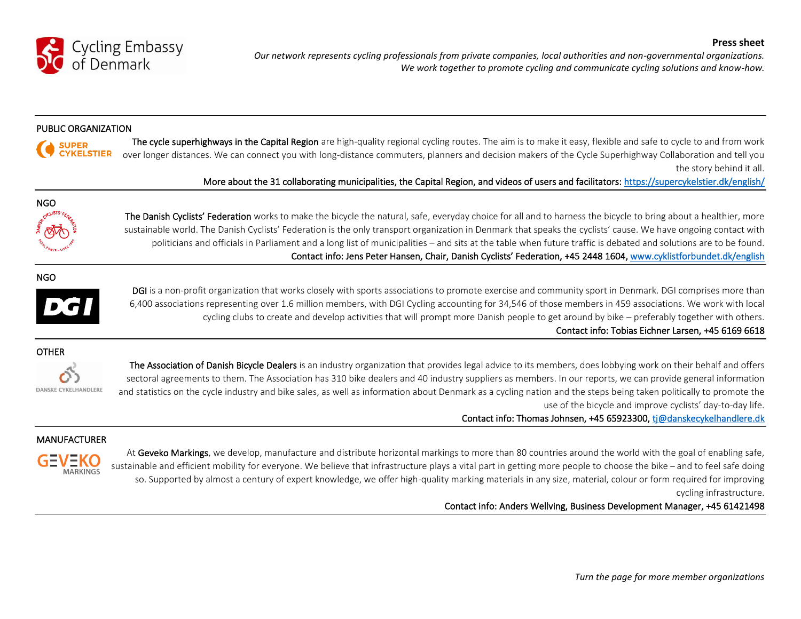

*Our network represents cycling professionals from private companies, local authorities and non-governmental organizations. We work together to promote cycling and communicate cycling solutions and know-how.*

#### PUBLIC ORGANIZATION



The cycle superhighways in the Capital Region are high-quality regional cycling routes. The aim is to make it easy, flexible and safe to cycle to and from work over longer distances. We can connect you with long-distance commuters, planners and decision makers of the Cycle Superhighway Collaboration and tell you the story behind it all.

More about the 31 collaborating municipalities, the Capital Region, and videos of users and facilitators:<https://supercykelstier.dk/english/>



The Danish Cyclists' Federation works to make the bicycle the natural, safe, everyday choice for all and to harness the bicycle to bring about a healthier, more sustainable world. The Danish Cyclists' Federation is the only transport organization in Denmark that speaks the cyclists' cause. We have ongoing contact with politicians and officials in Parliament and a long list of municipalities – and sits at the table when future traffic is debated and solutions are to be found. Contact info: Jens Peter Hansen, Chair, Danish Cyclists' Federation, +45 2448 1604[, www.cyklistforbundet.dk/english](http://www.cyklistforbundet.dk/english) 

NGO



DGI is a non-profit organization that works closely with sports associations to promote exercise and community sport in Denmark. DGI comprises more than 6,400 associations representing over 1.6 million members, with DGI Cycling accounting for 34,546 of those members in 459 associations. We work with local cycling clubs to create and develop activities that will prompt more Danish people to get around by bike – preferably together with others. Contact info: Tobias Eichner Larsen, +45 6169 6618

## OTHER



The Association of Danish Bicycle Dealers is an industry organization that provides legal advice to its members, does lobbying work on their behalf and offers sectoral agreements to them. The Association has 310 bike dealers and 40 industry suppliers as members. In our reports, we can provide general information and statistics on the cycle industry and bike sales, as well as information about Denmark as a cycling nation and the steps being taken politically to promote the use of the bicycle and improve cyclists' day-to-day life.

Contact info: Thomas Johnsen, +45 65923300, tj@danskecykelhandlere.dk

# MANUFACTURER



At Geveko Markings, we develop, manufacture and distribute horizontal markings to more than 80 countries around the world with the goal of enabling safe, sustainable and efficient mobility for everyone. We believe that infrastructure plays a vital part in getting more people to choose the bike – and to feel safe doing so. Supported by almost a century of expert knowledge, we offer high-quality marking materials in any size, material, colour or form required for improving cycling infrastructure.

# Contact info: Anders Wellving, Business Development Manager, +45 61421498

**Press sheet**